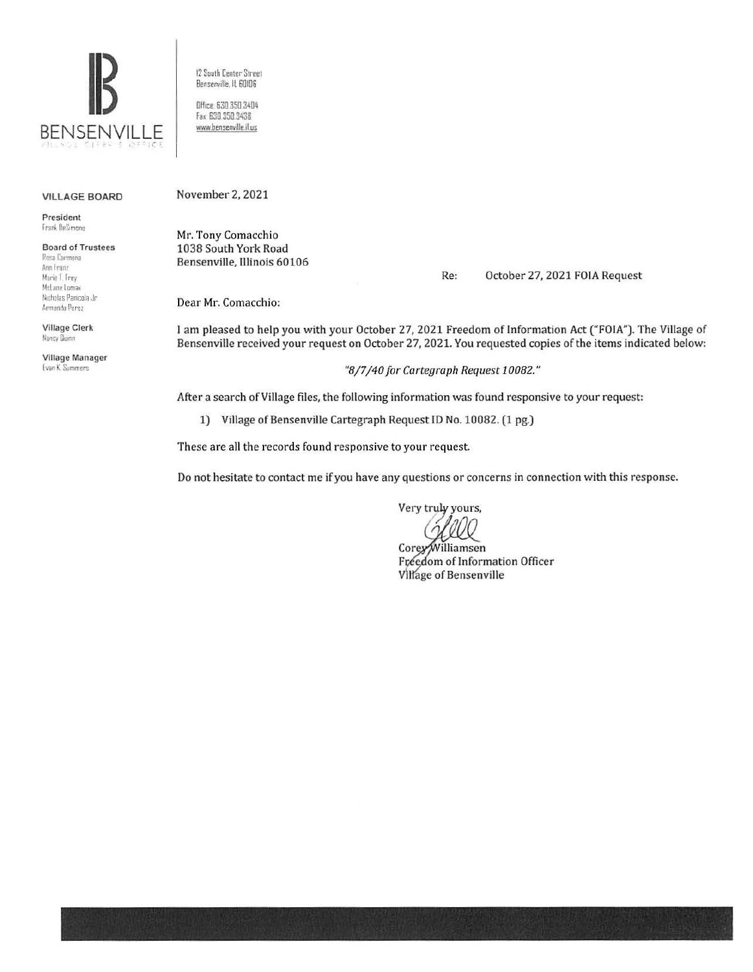

12 South Center Street Bensenville, IL 60106 Office: 630.350.3404 Fax: 630,350,3438 www.bensenville.il.us

## **VILLAGE BOARD**

President Frank DeSimone

## **Board of Trustees** Rosa Carmona Ann Franz Marie T. Frey McLane Lomax Nicholas Panicola Jr. Armando Perez

**Village Clerk** Nancy Dunn

Village Manager **Evan K. Summers** 

November 2, 2021

Mr. Tony Comacchio 1038 South York Road Bensenville, Illinois 60106

> Re: October 27, 2021 FOIA Request

Dear Mr. Comacchio:

I am pleased to help you with your October 27, 2021 Freedom of Information Act ("FOIA"). The Village of Bensenville received your request on October 27, 2021. You requested copies of the items indicated below:

"8/7/40 for Cartegraph Request 10082."

After a search of Village files, the following information was found responsive to your request:

1) Village of Bensenville Cartegraph Request ID No. 10082. (1 pg.)

These are all the records found responsive to your request.

Do not hesitate to contact me if you have any questions or concerns in connection with this response.

Very truly yours,

Corey/Williamsen Freedom of Information Officer Village of Bensenville